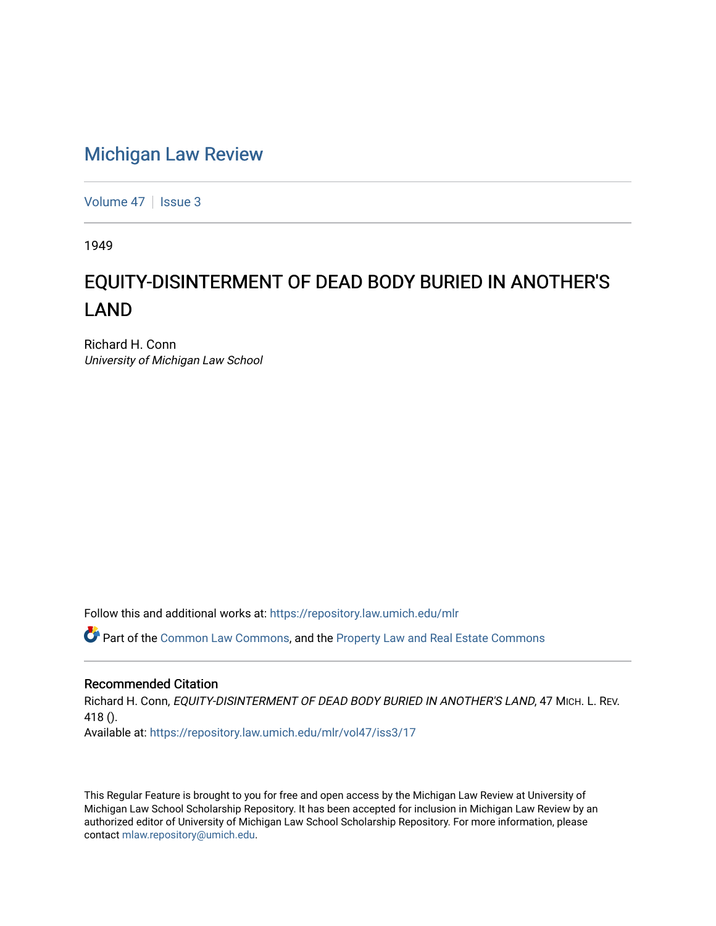## [Michigan Law Review](https://repository.law.umich.edu/mlr)

[Volume 47](https://repository.law.umich.edu/mlr/vol47) | [Issue 3](https://repository.law.umich.edu/mlr/vol47/iss3)

1949

## EQUITY-DISINTERMENT OF DEAD BODY BURIED IN ANOTHER'S LAND

Richard H. Conn University of Michigan Law School

Follow this and additional works at: [https://repository.law.umich.edu/mlr](https://repository.law.umich.edu/mlr?utm_source=repository.law.umich.edu%2Fmlr%2Fvol47%2Fiss3%2F17&utm_medium=PDF&utm_campaign=PDFCoverPages) 

Part of the [Common Law Commons,](http://network.bepress.com/hgg/discipline/1120?utm_source=repository.law.umich.edu%2Fmlr%2Fvol47%2Fiss3%2F17&utm_medium=PDF&utm_campaign=PDFCoverPages) and the [Property Law and Real Estate Commons](http://network.bepress.com/hgg/discipline/897?utm_source=repository.law.umich.edu%2Fmlr%2Fvol47%2Fiss3%2F17&utm_medium=PDF&utm_campaign=PDFCoverPages)

## Recommended Citation

Richard H. Conn, EQUITY-DISINTERMENT OF DEAD BODY BURIED IN ANOTHER'S LAND, 47 MICH. L. REV. 418 (). Available at: [https://repository.law.umich.edu/mlr/vol47/iss3/17](https://repository.law.umich.edu/mlr/vol47/iss3/17?utm_source=repository.law.umich.edu%2Fmlr%2Fvol47%2Fiss3%2F17&utm_medium=PDF&utm_campaign=PDFCoverPages) 

This Regular Feature is brought to you for free and open access by the Michigan Law Review at University of Michigan Law School Scholarship Repository. It has been accepted for inclusion in Michigan Law Review by an authorized editor of University of Michigan Law School Scholarship Repository. For more information, please contact [mlaw.repository@umich.edu](mailto:mlaw.repository@umich.edu).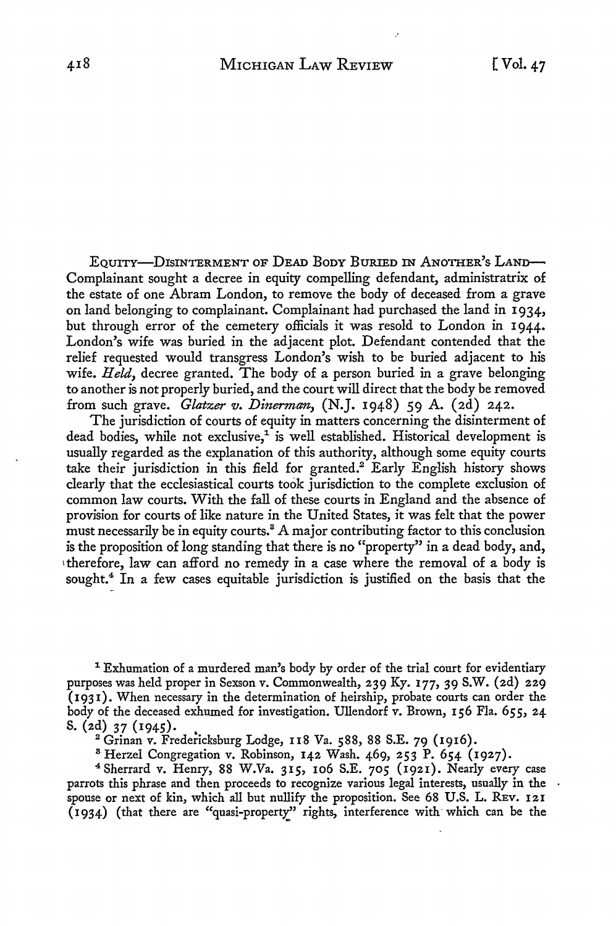EQUITY-DISINTERMENT OF DEAD BODY BURIED IN ANOTHER'S LAND-Complainant sought a decree in equity compelling defendant, administratrix of the estate of one Abram London, to remove the body of deceased from a grave on land belonging to complainant. Complainant had purchased the land in 1934, but through error of the cemetery officials it was resold to London in 1944. London's wife was buried in the adjacent plot. Defendant contended that the relief requested would transgress London's wish to be buried adjacent to his wife. *Held,* decree granted. The body of a person buried in a grave belonging to another is not properly buried, and the court will direct that the body be removed from such grave. *Glatzer v. Dinernum,* (N.J. 1948) 59 A. (2d) 242.

The jurisdiction of courts of equity in matters concerning the disinterment of dead bodies, while not exclusive,<sup>1</sup> is well established. Historical development is usually regarded as the explanation of this authority, although some equity courts take their jurisdiction in this field for granted.<sup>2</sup> Early English history shows clearly that the ecclesiastical courts took jurisdiction to the complete exclusion of common law courts. With the fall of these courts in England and the absence of provision for courts of like nature in the United States, it was felt that the power must necessarily be in equity courts.3 A major contributing factor to this conclusion is the proposition of long standing that there is no "property" in a dead body, and, 1therefore, law can afford no remedy in a case where the removal of a body is sought.4 In a few cases equitable jurisdiction is justified on the basis that the

1 Exhumation of a murdered man's body by order of the trial court for evidentiary purposes was held proper in Sexson v. Commonwealth, 239 Ky. 177, 39 S.W. (2d) 229  $(1931)$ . When necessary in the determination of heirship, probate courts can order the body of the deceased exhumed for investigation. Ullendorf v. Brown, 156 Fla. 655, 24 S. (2d) 37 (1945).

 $2$  Grinan v. Fredericksburg Lodge, 118 Va. 588, 88 S.E. 79 (1916).

8 Herzel Congregation v. Robinson, 142 Wash. 469, 253 P. 654 (1927).

<sup>4</sup>Sherrard v. Henry, 88 W.Va. 315, 106 S.E. 705 (1921). Nearly every case parrots this phrase and then proceeds to recognize various legal interests, usually in the spouse or next of kin, which all but nullify the proposition. See 68 U.S. L. REV. 121 (1934) (that there are "quasi-property" rights, interference with which can be the